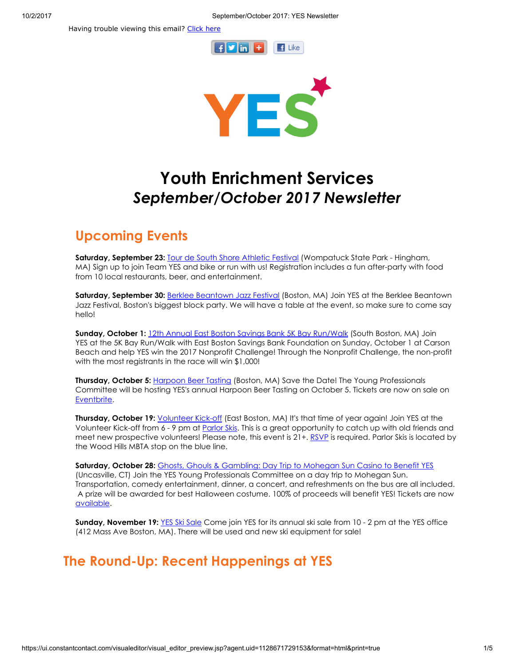Having trouble viewing this email? [Click](http://campaign.r20.constantcontact.com/render?ca=4efc6653-3865-4f43-9643-8c78106b235f&preview=true&m=1101413331897&id=preview) here





# Youth Enrichment Services September/October 2017 Newsletter

## Upcoming Events

Saturday, September 23: [Tour de South Shore Athletic Festival](https://www.crowdrise.com/youth-enrichment-services-yes) (Wompatuck State Park - Hingham, MA) Sign up to join Team YES and bike or run with us! Registration includes a fun after-party with food from 10 local restaurants, beer, and entertainment.

Saturday, September 30: [Berklee Beantown Jazz Festival](http://www.yeskids.org/event/berklee-beantown-jazz-festival-2/) (Boston, MA) Join YES at the Berklee Beantown Jazz Festival, Boston's biggest block party. We will have a table at the event, so make sure to come say hello!

Sunday, October 1: [12th Annual East Boston Savings Bank 5K Bay Run/Walk](http://www.yeskids.org/event/help-yes-win-a-grant-at-the-12th-annual-east-boston-savings-bank-5k-bay-runwalk/) (South Boston, MA) Join YES at the 5K Bay Run/Walk with East Boston Savings Bank Foundation on Sunday, October 1 at Carson Beach and help YES win the 2017 Nonprofit Challenge! Through the Nonprofit Challenge, the non-profit with the most registrants in the race will win \$1,000!

**Thursday, October 5:** [Harpoon Beer Tasting](https://www.eventbrite.com/e/5th-annual-beer-tasting-with-yes-tickets-37256874314) (Boston, MA) Save the Date! The Young Professionals Committee will be hosting YES's annual Harpoon Beer Tasting on October 5. Tickets are now on sale on [Eventbrite](https://www.eventbrite.com/e/5th-annual-beer-tasting-with-yes-tickets-37256874314).

Thursday, October 19: *[Volunteer Kick-off](http://www.yeskids.org/event/yes-volunteer-kickoff/)* (East Boston, MA) It's that time of year again! Join YES at the Volunteer Kick-off from 6 - 9 pm at [Parlor Skis](https://www.google.com/maps/place/Parlor+Skis/@42.385874,-71.015846,15z/data=!4m5!3m4!1s0x0:0x8f3a4e7405274572!8m2!3d42.385874!4d-71.015846). This is a great opportunity to catch up with old friends and meet new prospective volunteers! Please note, this event is 21+. [RSVP](https://fs30.formsite.com/volunteeryeskidsorg/form61/index.html) is required. Parlor Skis is located by the Wood Hills MBTA stop on the blue line.

Saturday, October 28: [Ghosts, Ghouls & Gambling: Day Trip to Mohegan Sun Casino to Benefit YES](https://www.eventbrite.com/e/ghosts-ghouls-gambling-day-trip-to-mohegan-sun-to-benefit-yes-tickets-37456158378) (Uncasville, CT) Join the YES Young Professionals Committee on a day trip to Mohegan Sun. Transportation, comedy entertainment, dinner, a concert, and refreshments on the bus are all included. A prize will be awarded for best Halloween costume. 100% of proceeds will benefit YES! Tickets are now [available](https://yesghostsghoulsgambling.eventbrite.com/).

Sunday, November 19: [YES Ski Sale](http://www.yeskids.org/event/yess-annual-ski-sale/) Come join YES for its annual ski sale from 10 - 2 pm at the YES office (412 Mass Ave Boston, MA). There will be used and new ski equipment for sale!

# The Round-Up: Recent Happenings at YES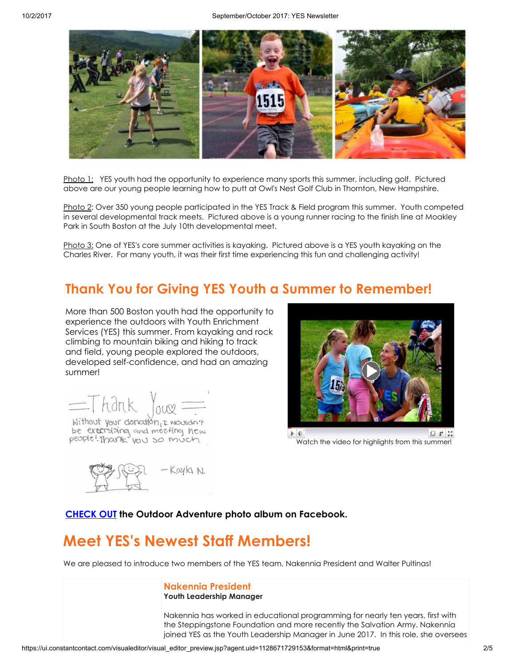

Photo 1: YES youth had the opportunity to experience many sports this summer, including golf. Pictured above are our young people learning how to putt at Owl's Nest Golf Club in Thornton, New Hampshire.

Photo 2: Over 350 young people participated in the YES Track & Field program this summer. Youth competed in several developmental track meets. Pictured above is a young runner racing to the finish line at Moakley Park in South Boston at the July 10th developmental meet.

Photo 3: One of YES's core summer activities is kayaking. Pictured above is a YES youth kayaking on the Charles River. For many youth, it was their first time experiencing this fun and challenging activity!

## Thank You for Giving YES Youth a Summer to Remember!

More than 500 Boston youth had the opportunity to experience the outdoors with Youth Enrichment Services (YES) this summer. From kayaking and rock climbing to mountain biking and hiking to track and field, young people explored the outdoors, developed self-confidence, and had an amazing summer!



be extensioner and meeting new people! Thank you so much



Watch the video for [highlights](https://youtu.be/k7--iPKpYcc) from this summer!



[CHECK](https://www.facebook.com/pg/yeskidsboston/photos/?tab=album&album_id=10155459200981224) OUT the Outdoor Adventure photo album on Facebook.

# Meet YES's Newest Staff Members!

We are pleased to introduce two members of the YES team, Nakennia President and Walter Pultinas!

#### Nakennia President Youth Leadership Manager

Nakennia has worked in educational programming for nearly ten years, first with the Steppingstone Foundation and more recently the Salvation Army. Nakennia joined YES as the Youth Leadership Manager in June 2017. In this role, she oversees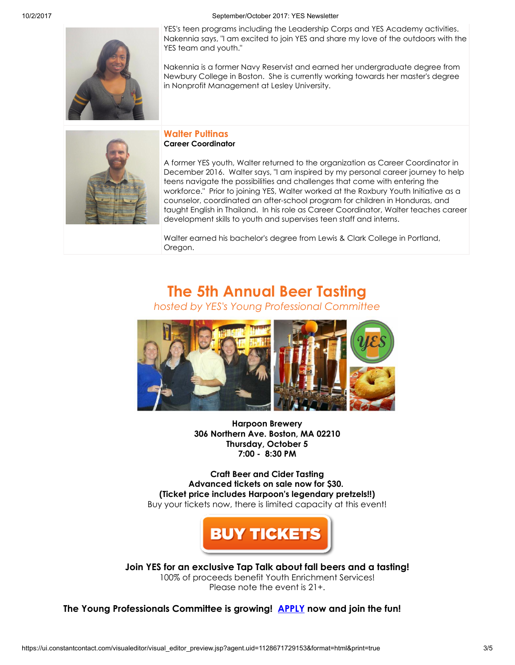10/2/2017 September/October 2017: YES Newsletter



YES's teen programs including the Leadership Corps and YES Academy activities. Nakennia says, "I am excited to join YES and share my love of the outdoors with the YES team and youth."

Nakennia is a former Navy Reservist and earned her undergraduate degree from Newbury College in Boston. She is currently working towards her master's degree in Nonprofit Management at Lesley University.

### Walter Pultinas Career Coordinator

A former YES youth, Walter returned to the organization as Career Coordinator in December 2016. Walter says, "I am inspired by my personal career journey to help teens navigate the possibilities and challenges that come with entering the workforce." Prior to joining YES, Walter worked at the Roxbury Youth Initiative as a counselor, coordinated an after-school program for children in Honduras, and taught English in Thailand. In his role as Career Coordinator, Walter teaches career development skills to youth and supervises teen staff and interns.

Walter earned his bachelor's degree from Lewis & Clark College in Portland, Oregon.

# The 5th Annual Beer Tasting

hosted by YES's Young Professional Committee



Harpoon Brewery 306 Northern Ave. Boston, MA 02210 Thursday, October 5 7:00 - 8:30 PM

Craft Beer and Cider Tasting Advanced tickets on sale now for \$30. (Ticket price includes Harpoon's legendary pretzels!!) Buy your tickets now, there is limited capacity at this event!



Join YES for an exclusive Tap Talk about fall beers and a tasting! 100% of proceeds benefit Youth Enrichment Services! Please note the event is 21+.

The Young Professionals Committee is growing! [APPLY](http://www.yeskids.org/ypc/) now and join the fun!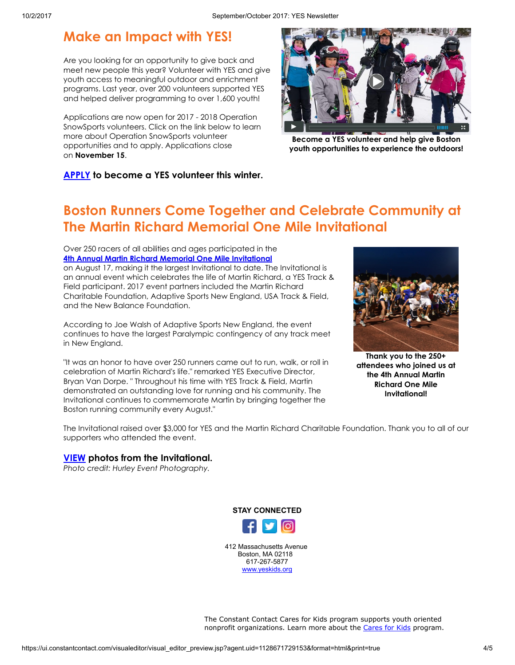### Make an Impact with YES!

Are you looking for an opportunity to give back and meet new people this year? Volunteer with YES and give youth access to meaningful outdoor and enrichment programs. Last year, over 200 volunteers supported YES and helped deliver programming to over 1,600 youth!

Applications are now open for 2017 - 2018 Operation SnowSports volunteers. Click on the link below to learn more about Operation SnowSports volunteer opportunities and to apply. Applications close on November 15.



[Become a YES volunteer and help give Boston](https://vimeo.com/213901171) youth opportunities to experience the outdoors!

[APPLY](https://fs30.formsite.com/volunteeryeskidsorg/form38/index.html) to become a YES volunteer this winter.

# Boston Runners Come Together and Celebrate Community at The Martin Richard Memorial One Mile Invitational

#### Over 250 racers of all abilities and ages participated in the [4th Annual Martin Richard Memorial One Mile Invitational](http://www.yeskids.org/event/3rd-annual-martin-richard-memorial-1-mile-invitational/) on August 17, making it the largest Invitational to date. The Invitational is an annual event which celebrates the life of Martin Richard, a YES Track & Field participant. 2017 event partners included the Martin Richard Charitable Foundation, Adaptive Sports New England, USA Track & Field, and the New Balance Foundation.

According to Joe Walsh of Adaptive Sports New England, the event continues to have the largest Paralympic contingency of any track meet in New England.

"It was an honor to have over 250 runners came out to run, walk, or roll in celebration of Martin Richard's life." remarked YES Executive Director, Bryan Van Dorpe. " Throughout his time with YES Track & Field, Martin demonstrated an outstanding love for running and his community. The Invitational continues to commemorate Martin by bringing together the Boston running community every August."



Thank you to the 250+ attendees who joined us at the 4th Annual Martin Richard One Mile Invitational!

The Invitational raised over \$3,000 for YES and the Martin Richard Charitable Foundation. Thank you to all of our supporters who attended the event.

### [VIEW](https://www.facebook.com/pg/yeskidsboston/photos/?tab=album&album_id=10155431851646224) photos from the Invitational.

Photo credit: Hurley Event Photography.



412 Massachusetts Avenue Boston, MA 02118 617-267-5877 [www.yeskids.org](http://www.yeskids.org/)

The Constant Contact Cares for Kids program supports youth oriented nonprofit organizations. Learn more about the [Cares](http://www.constantcontact.com/about-constant-contact/cares4kids.jsp?cc=c4kfoot) for Kids program.